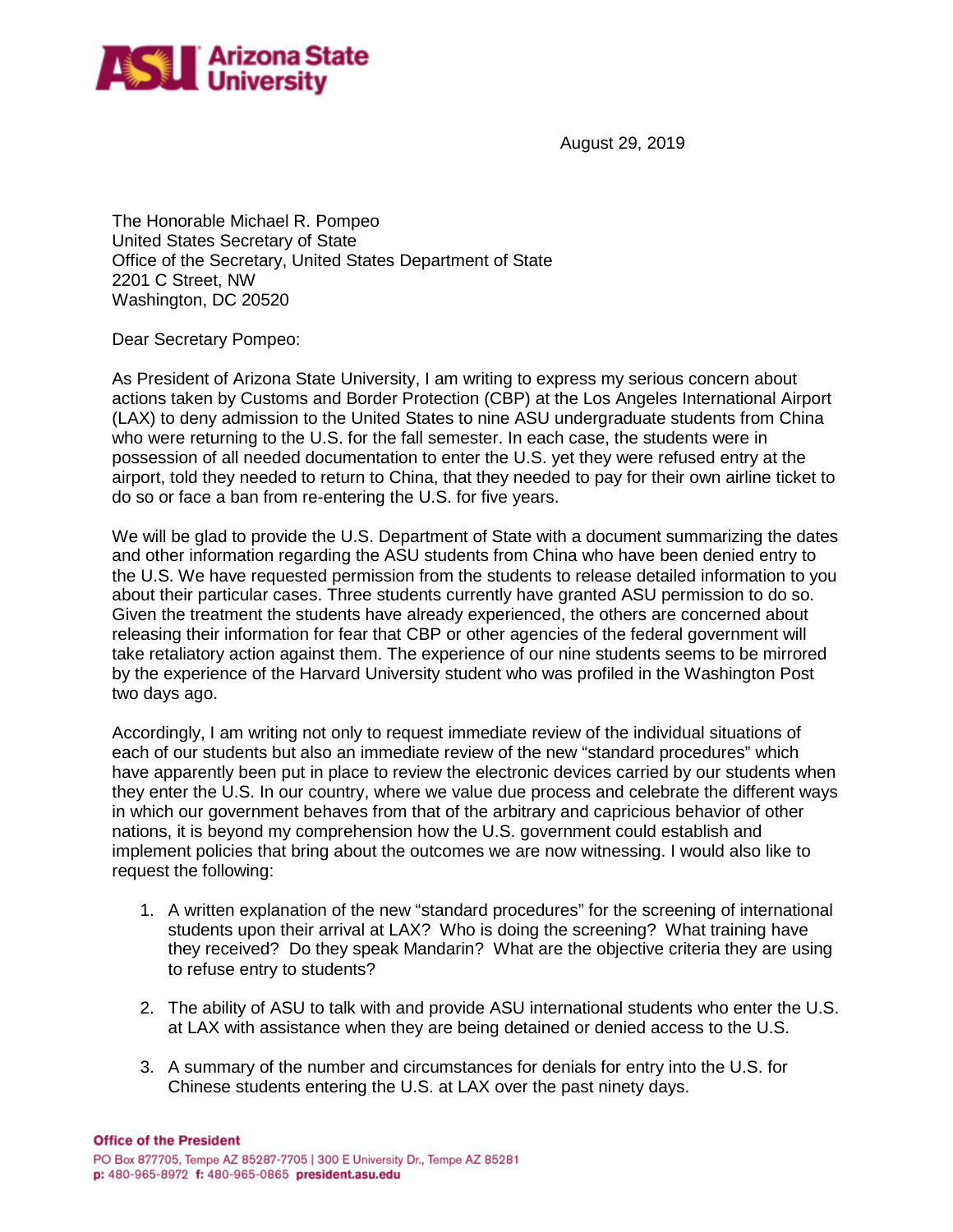

August 29, 2019

The Honorable Michael R. Pompeo United States Secretary of State Office of the Secretary, United States Department of State 2201 C Street, NW Washington, DC 20520

Dear Secretary Pompeo:

As President of Arizona State University, I am writing to express my serious concern about actions taken by Customs and Border Protection (CBP) at the Los Angeles International Airport (LAX) to deny admission to the United States to nine ASU undergraduate students from China who were returning to the U.S. for the fall semester. In each case, the students were in possession of all needed documentation to enter the U.S. yet they were refused entry at the airport, told they needed to return to China, that they needed to pay for their own airline ticket to do so or face a ban from re-entering the U.S. for five years.

We will be glad to provide the U.S. Department of State with a document summarizing the dates and other information regarding the ASU students from China who have been denied entry to the U.S. We have requested permission from the students to release detailed information to you about their particular cases. Three students currently have granted ASU permission to do so. Given the treatment the students have already experienced, the others are concerned about releasing their information for fear that CBP or other agencies of the federal government will take retaliatory action against them. The experience of our nine students seems to be mirrored by the experience of the Harvard University student who was profiled in the Washington Post two days ago.

Accordingly, I am writing not only to request immediate review of the individual situations of each of our students but also an immediate review of the new "standard procedures" which have apparently been put in place to review the electronic devices carried by our students when they enter the U.S. In our country, where we value due process and celebrate the different ways in which our government behaves from that of the arbitrary and capricious behavior of other nations, it is beyond my comprehension how the U.S. government could establish and implement policies that bring about the outcomes we are now witnessing. I would also like to request the following:

- 1. A written explanation of the new "standard procedures" for the screening of international students upon their arrival at LAX? Who is doing the screening? What training have they received? Do they speak Mandarin? What are the objective criteria they are using to refuse entry to students?
- 2. The ability of ASU to talk with and provide ASU international students who enter the U.S. at LAX with assistance when they are being detained or denied access to the U.S.
- 3. A summary of the number and circumstances for denials for entry into the U.S. for Chinese students entering the U.S. at LAX over the past ninety days.

**Office of the President**